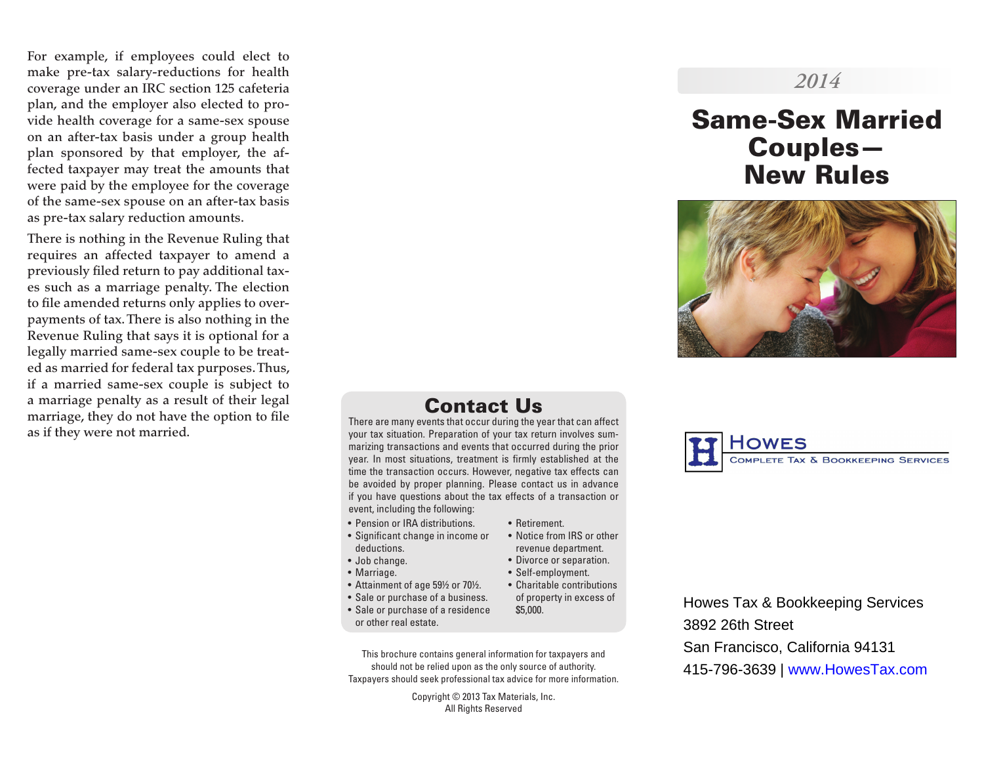For example, if employees could elect to make pre-tax salary-reductions for health coverage under an IRC section 125 cafeteria plan, and the employer also elected to pro vide health coverage for a same-sex spouse on an after-tax basis under a group health plan sponsored by that employer, the af fected taxpayer may treat the amounts that were paid by the employee for the coverage of the same-sex spouse on an after-tax basis as pre-tax salary reduction amounts.

There is nothing in the Revenue Ruling that requires an affected taxpayer to amend a previously filed return to pay additional tax es such as a marriage penalty. The election to file amended returns only applies to over payments of tax. There is also nothing in the Revenue Ruling that says it is optional for a legally married same-sex couple to be treat ed as married for federal tax purposes. Thus, if a married same-sex couple is subject to a marriage penalty as a result of their legal marriage, they do not have the option to file as if they were not married.

## *2014*

# Same-Sex Married Couples— New Rules



## Contact Us

There are many events that occur during the year that can affect your tax situation. Preparation of your tax return involves sum marizing transactions and events that occurred during the prior year. In most situations, treatment is firmly established at the time the transaction occurs. However, negative tax effects can be avoided by proper planning. Please contact us in advance if you have questions about the tax effects of a transaction or event, including the following:

- Pension or IRA distributions.
- Significant change in income or deductions.
- Job change.
- Marriage.
- Attainment of age 59½ or 70½.
- Sale or purchase of a business.
- Sale or purchase of a residence or other real estate.
- Retirement.
- revenue department.
- Divorce or separation.

• Notice from IRS or other

- Self-employment.
- Charitable contributions of property in excess of
- \$5,000.
- 
- This brochure contains general information for taxpayers and

should not be relied upon as the only source of authority. Taxpayers should seek professional tax advice for more information.

> Copyright © 2013 Tax Materials, Inc. All Rights Reserved



Howes Tax & Bookkeeping Services 3892 26th Street San Francisco, California 94131 415-796-3639 | www.HowesTax.com